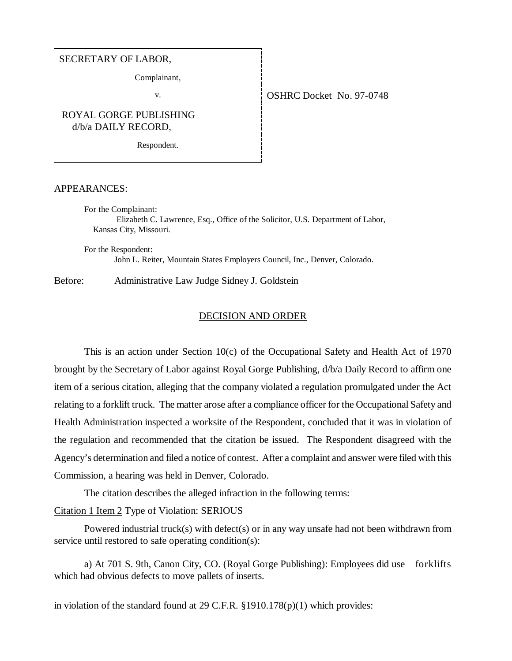### SECRETARY OF LABOR,

Complainant,

# ROYAL GORGE PUBLISHING d/b/a DAILY RECORD,

Respondent.

### APPEARANCES:

For the Complainant: Elizabeth C. Lawrence, Esq., Office of the Solicitor, U.S. Department of Labor, Kansas City, Missouri.

For the Respondent: John L. Reiter, Mountain States Employers Council, Inc., Denver, Colorado.

Before: Administrative Law Judge Sidney J. Goldstein

### DECISION AND ORDER

This is an action under Section 10(c) of the Occupational Safety and Health Act of 1970 brought by the Secretary of Labor against Royal Gorge Publishing, d/b/a Daily Record to affirm one item of a serious citation, alleging that the company violated a regulation promulgated under the Act relating to a forklift truck. The matter arose after a compliance officer for the Occupational Safety and Health Administration inspected a worksite of the Respondent, concluded that it was in violation of the regulation and recommended that the citation be issued. The Respondent disagreed with the Agency's determination and filed a notice of contest. After a complaint and answer were filed with this Commission, a hearing was held in Denver, Colorado.

The citation describes the alleged infraction in the following terms:

## Citation 1 Item 2 Type of Violation: SERIOUS

Powered industrial truck(s) with defect(s) or in any way unsafe had not been withdrawn from service until restored to safe operating condition(s):

a) At 701 S. 9th, Canon City, CO. (Royal Gorge Publishing): Employees did use forklifts which had obvious defects to move pallets of inserts.

in violation of the standard found at 29 C.F.R. §1910.178(p)(1) which provides:

### v. 6. OSHRC Docket No. 97-0748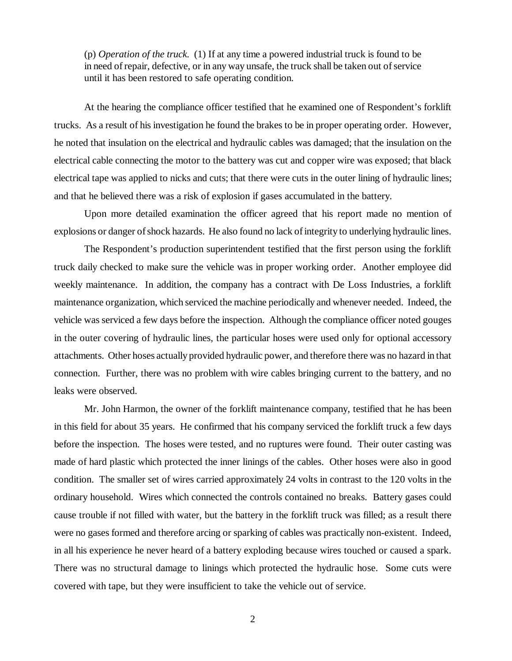(p) *Operation of the truck.* (1) If at any time a powered industrial truck is found to be in need of repair, defective, or in any way unsafe, the truck shall be taken out of service until it has been restored to safe operating condition.

At the hearing the compliance officer testified that he examined one of Respondent's forklift trucks. As a result of his investigation he found the brakes to be in proper operating order. However, he noted that insulation on the electrical and hydraulic cables was damaged; that the insulation on the electrical cable connecting the motor to the battery was cut and copper wire was exposed; that black electrical tape was applied to nicks and cuts; that there were cuts in the outer lining of hydraulic lines; and that he believed there was a risk of explosion if gases accumulated in the battery.

Upon more detailed examination the officer agreed that his report made no mention of explosions or danger of shock hazards. He also found no lack of integrity to underlying hydraulic lines.

The Respondent's production superintendent testified that the first person using the forklift truck daily checked to make sure the vehicle was in proper working order. Another employee did weekly maintenance. In addition, the company has a contract with De Loss Industries, a forklift maintenance organization, which serviced the machine periodically and whenever needed. Indeed, the vehicle was serviced a few days before the inspection. Although the compliance officer noted gouges in the outer covering of hydraulic lines, the particular hoses were used only for optional accessory attachments. Other hoses actually provided hydraulic power, and therefore there was no hazard in that connection. Further, there was no problem with wire cables bringing current to the battery, and no leaks were observed.

Mr. John Harmon, the owner of the forklift maintenance company, testified that he has been in this field for about 35 years. He confirmed that his company serviced the forklift truck a few days before the inspection. The hoses were tested, and no ruptures were found. Their outer casting was made of hard plastic which protected the inner linings of the cables. Other hoses were also in good condition. The smaller set of wires carried approximately 24 volts in contrast to the 120 volts in the ordinary household. Wires which connected the controls contained no breaks. Battery gases could cause trouble if not filled with water, but the battery in the forklift truck was filled; as a result there were no gases formed and therefore arcing or sparking of cables was practically non-existent. Indeed, in all his experience he never heard of a battery exploding because wires touched or caused a spark. There was no structural damage to linings which protected the hydraulic hose. Some cuts were covered with tape, but they were insufficient to take the vehicle out of service.